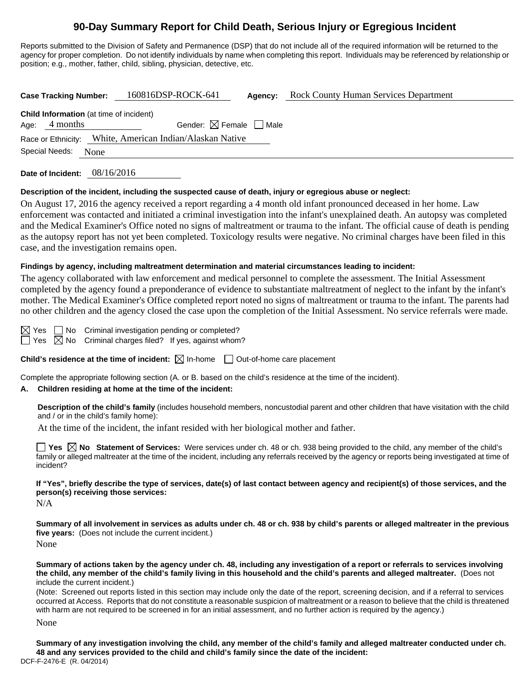# **90-Day Summary Report for Child Death, Serious Injury or Egregious Incident**

Reports submitted to the Division of Safety and Permanence (DSP) that do not include all of the required information will be returned to the agency for proper completion. Do not identify individuals by name when completing this report. Individuals may be referenced by relationship or position; e.g., mother, father, child, sibling, physician, detective, etc.

| <b>Case Tracking Number:</b>                                       | 160816DSP-ROCK-641                                       | Agency: | <b>Rock County Human Services Department</b> |
|--------------------------------------------------------------------|----------------------------------------------------------|---------|----------------------------------------------|
| <b>Child Information</b> (at time of incident)<br>4 months<br>Age: | Gender: $\boxtimes$ Female $\Box$ Male                   |         |                                              |
| Special Needs:<br>None                                             | Race or Ethnicity: White, American Indian/Alaskan Native |         |                                              |
|                                                                    |                                                          |         |                                              |

**Date of Incident:** 08/16/2016

#### **Description of the incident, including the suspected cause of death, injury or egregious abuse or neglect:**

On August 17, 2016 the agency received a report regarding a 4 month old infant pronounced deceased in her home. Law enforcement was contacted and initiated a criminal investigation into the infant's unexplained death. An autopsy was completed and the Medical Examiner's Office noted no signs of maltreatment or trauma to the infant. The official cause of death is pending as the autopsy report has not yet been completed. Toxicology results were negative. No criminal charges have been filed in this case, and the investigation remains open.

#### **Findings by agency, including maltreatment determination and material circumstances leading to incident:**

The agency collaborated with law enforcement and medical personnel to complete the assessment. The Initial Assessment completed by the agency found a preponderance of evidence to substantiate maltreatment of neglect to the infant by the infant's mother. The Medical Examiner's Office completed report noted no signs of maltreatment or trauma to the infant. The parents had no other children and the agency closed the case upon the completion of the Initial Assessment. No service referrals were made.

 $\boxtimes$  Yes  $\Box$  No Criminal investigation pending or completed?

 $\Box$  Yes  $\boxtimes$  No Criminal charges filed? If yes, against whom?

**Child's residence at the time of incident:**  $\boxtimes$  In-home  $\Box$  Out-of-home care placement

Complete the appropriate following section (A. or B. based on the child's residence at the time of the incident).

#### **A. Children residing at home at the time of the incident:**

**Description of the child's family** (includes household members, noncustodial parent and other children that have visitation with the child and / or in the child's family home):

At the time of the incident, the infant resided with her biological mother and father.

**Yes No Statement of Services:** Were services under ch. 48 or ch. 938 being provided to the child, any member of the child's family or alleged maltreater at the time of the incident, including any referrals received by the agency or reports being investigated at time of incident?

**If "Yes", briefly describe the type of services, date(s) of last contact between agency and recipient(s) of those services, and the person(s) receiving those services:** 

N/A

**Summary of all involvement in services as adults under ch. 48 or ch. 938 by child's parents or alleged maltreater in the previous five years:** (Does not include the current incident.) None

**Summary of actions taken by the agency under ch. 48, including any investigation of a report or referrals to services involving the child, any member of the child's family living in this household and the child's parents and alleged maltreater.** (Does not include the current incident.)

(Note: Screened out reports listed in this section may include only the date of the report, screening decision, and if a referral to services occurred at Access. Reports that do not constitute a reasonable suspicion of maltreatment or a reason to believe that the child is threatened with harm are not required to be screened in for an initial assessment, and no further action is required by the agency.)

None

DCF-F-2476-E (R. 04/2014) **Summary of any investigation involving the child, any member of the child's family and alleged maltreater conducted under ch. 48 and any services provided to the child and child's family since the date of the incident:**